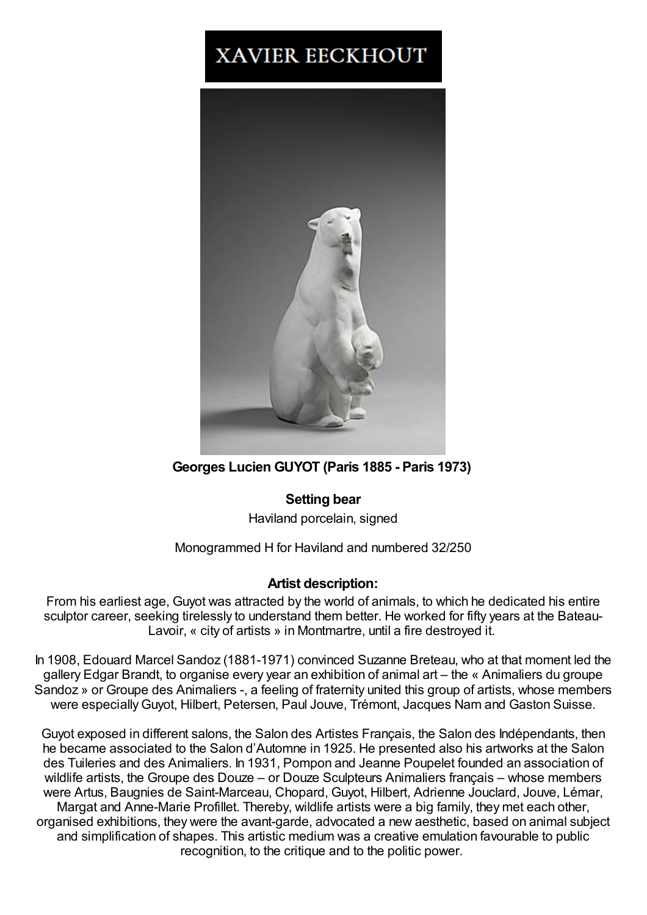## **XAVIER EECKHOUT**



**Georges Lucien GUYOT (Paris 1885 - Paris 1973)**

## **Setting bear**

Haviland porcelain, signed

## Monogrammed H for Haviland and numbered 32/250

## **Artist description:**

From his earliest age, Guyot was attracted by the world of animals, to which he dedicated his entire sculptor career, seeking tirelessly to understand them better. He worked for fifty years at the Bateau-Lavoir, « city of artists » in Montmartre, until a fire destroyed it.

In 1908, Edouard Marcel Sandoz (1881-1971) convinced Suzanne Breteau, who at that moment led the gallery Edgar Brandt, to organise every year an exhibition of animal art – the « Animaliers du groupe Sandoz » or Groupe des Animaliers -, a feeling of fraternity united this group of artists, whose members were especiallyGuyot, Hilbert, Petersen, Paul Jouve, Trémont, Jacques Nam and Gaston Suisse.

Guyot exposed in different salons, the Salon des Artistes Français, the Salon des Indépendants, then he became associated to the Salon d'Automne in 1925. He presented also his artworks at the Salon des Tuileries and des Animaliers. In 1931, Pompon and Jeanne Poupelet founded an association of wildlife artists, the Groupe des Douze – or Douze Sculpteurs Animaliers français – whose members were Artus, Baugnies de Saint-Marceau, Chopard, Guyot, Hilbert, Adrienne Jouclard, Jouve, Lémar, Margat and Anne-Marie Profillet. Thereby, wildlife artists were a big family, they met each other, organised exhibitions, they were the avant-garde, advocated a new aesthetic, based on animal subject and simplification of shapes. This artistic medium was a creative emulation favourable to public recognition, to the critique and to the politic power.